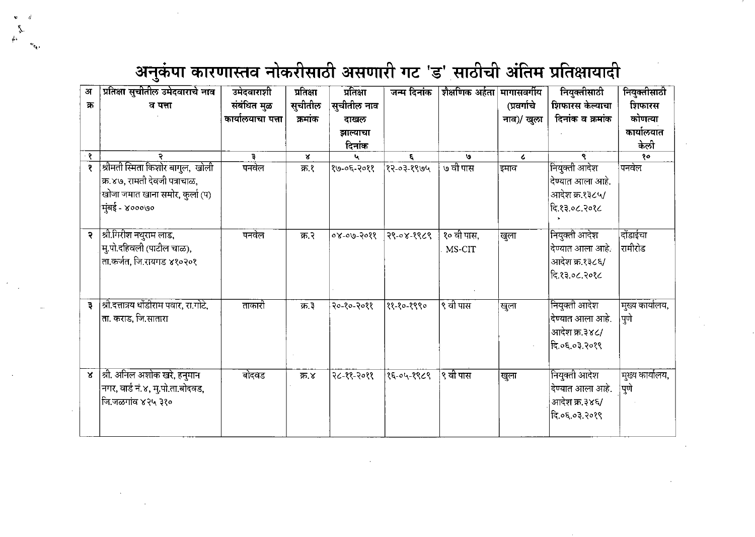۰,

| अ              | प्रतिक्षा सुचीतील उमेदवाराचे नाव       | उमेदवाराशी        | प्रतिक्षा    | प्रतिक्षा   | जन्म दिनांक | शैक्षणिक अर्हता  मागासवर्गीय |             | नियुक्तीसाठी             | नियुक्तीसाठी    |
|----------------|----------------------------------------|-------------------|--------------|-------------|-------------|------------------------------|-------------|--------------------------|-----------------|
| ক              | व पत्ता                                | संबंधित मुळ       | सुचीतील      | सुचीतील नाव |             |                              | (प्रवर्गाचे | शिफारस केल्याचा          | शिफारस          |
|                |                                        | कार्यालयाचा पत्ता | क्रमांक      | दाखल        |             |                              | नाव)/ खुला  | दिनांक व क्रमांक         | कोणत्या         |
|                |                                        |                   |              | झाल्याचा    |             |                              |             |                          | कार्यालयात      |
|                |                                        |                   |              | दिनांक      |             |                              |             |                          | केलो            |
| - १            | P.                                     | Ę.                | $\mathbf{x}$ |             | ٤.          | <b>U</b>                     | $\epsilon$  | R.                       | १०              |
| १              | श्रीमती स्मिता किशोर बागुल, खोली       | पनवेल             | क्र १        | १७-०६-२०११  | १२-०३-१९७५  | ७ वी पास                     | इमाव        | नियुक्ती आदेश            | पनवेल           |
|                | क्र.४७, रामती देवजी पत्राचाळ,          |                   |              |             |             |                              |             | देण्यात आला आहे.         |                 |
|                | खोजा जमात खाना समोर, कुर्ला (प)        |                   |              |             |             |                              |             | आदेश क्र.१३८५/           |                 |
|                | मुंबई - ४०००७०                         |                   |              |             |             |                              |             | दि.१३.०८.२०१८            |                 |
|                |                                        |                   |              |             |             |                              |             |                          |                 |
| २              | श्री.गिरीश नथुराम लाड,                 | पनवेल             | क २          | $809 - 800$ | २९-०४-१९८९  | १० वी पास.                   | खुला        | नियुक्ती आदेश            | दोंडाईचा        |
|                | मु.पो.दहिवली (पाटील चाळ),              |                   |              |             |             | MS-CIT                       |             | देण्यात आला आहे.         | रामीरोड         |
|                | ता.कर्जत, जि.रायगड ४१०२०१              |                   |              |             |             |                              |             | आदेश क्र.१३८६/           |                 |
|                |                                        |                   |              |             |             |                              |             | दि.१३.०८.२०१८            |                 |
|                |                                        |                   |              |             |             |                              |             |                          |                 |
|                |                                        |                   |              |             |             |                              |             |                          |                 |
| $\overline{z}$ | श्री.दत्तात्रय धोंडीराम पवार, रा.गोटे, | ताकारी            | क्र.३        | २०-१०-२०११  | ११-१०-१९९०  | ९ वी पास                     | खुला        | नियुक्ती आदेश            | मुख्य कार्यालय, |
|                | ता. कराड, जि.सातारा                    |                   |              |             |             |                              |             | $\vert$ देण्यात आला आहे. | पुणे            |
|                |                                        |                   |              |             |             |                              |             | आदेश क्र.३४८/            |                 |
|                |                                        |                   |              |             |             |                              |             | दि.०६.०३.२०१९            |                 |
|                |                                        |                   |              |             |             |                              |             |                          |                 |
| $\mathbf{x}$   | श्री. अनिल अशोक खरे, हनुमान            | बोदवड             | क्र.४        | २८-११-२०११  | १६-०५-१९८९  | ९ वी पास                     | खुला        | नियुक्ती आदेश            | मुख्य कार्यालय, |
|                | नगर, वार्ड नं.४, मु.पो.ता.बोदवड,       |                   |              |             |             |                              |             | देण्यात आला आहे.         | पुणे            |
|                | कि.जळगांव ४२५ ३१०                      |                   |              |             |             |                              |             | आदेश क्र.३४६/            |                 |
|                |                                        |                   |              |             |             |                              |             | दि.०६.०३.२०१९            |                 |
|                |                                        |                   |              |             |             |                              |             |                          |                 |
|                |                                        |                   |              |             |             |                              |             |                          |                 |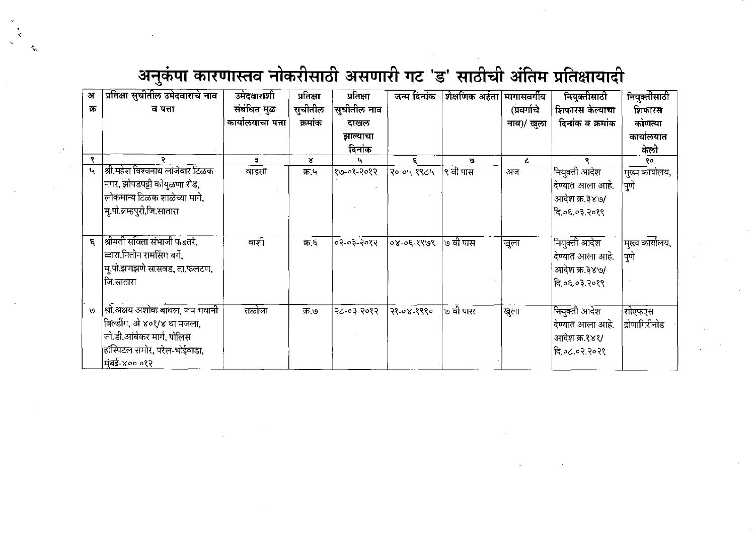*<■*

| अ   | प्रतिक्षा सुचीतील उमेदवाराचे नाव | उमेदवाराशी        | प्रतिक्षा | प्रतिक्षा   | जन्म दिनांक      | शैक्षणिक अर्हता मागासवर्गीय |             | नियुक्तीसाठी     | नियुक्तीसाठी         |
|-----|----------------------------------|-------------------|-----------|-------------|------------------|-----------------------------|-------------|------------------|----------------------|
| क्र | व पत्ता                          | संबंधित मुळ       | सुचीतील   | सुचीतील नाव |                  |                             | (प्रवर्गाचे | शिफारस केल्याचा  | शिफारस               |
|     |                                  | कार्यालयाचा पत्ता | क्रमांक   | दाखल        |                  |                             | नाव)/ खुला  | दिनांक व क्रमांक | कोणत्या              |
|     |                                  |                   |           | झाल्याचा    |                  |                             |             |                  | कार्यालयात           |
|     |                                  |                   |           | दिनांक      |                  |                             |             |                  | केली                 |
| १   | ₹                                | ₹                 | ×         |             | £.               | e/                          | $\epsilon$  |                  | १०                   |
| ધ   | श्री महेश विश्वनाथ लांजेवार टिळक | वाडसा             | क्र.५     | १७-०१-२०१२  | २०-०५-१९८५       | <b> ९ वी पास</b>            | अज          | नियुक्ती आदेश    | 'मुख्य कार्यालय,     |
|     | नगर, झोपडपट्टी कोयुळणा रोड,      |                   |           |             |                  |                             |             | देण्यात आला आहे. | 'पुणे                |
|     | लोकमान्य टिळक शाळेच्या मागे,     |                   |           |             |                  |                             |             | आदेश क्र.३४७/    |                      |
|     | मु.पो.ब्रम्हपुरी,जि.सातारा       |                   |           |             |                  |                             |             | दि.०६.०३.२०१९    |                      |
|     |                                  |                   |           |             |                  |                             |             |                  |                      |
| £.  | श्रीमती सविता संभाजी फडतरे.      | वाशी              | क्र.६     | ०२-०३-२०१२  | $8093 - 30 - 80$ | ७ वी पास                    |             | नियुक्ती आदेश    |                      |
|     | व्दारा.नितीन रामसिंग बर्गे,      |                   |           |             |                  |                             | खुला        |                  | ।मुख्य कार्यालय,     |
|     |                                  |                   |           |             |                  |                             |             | देण्यात आला आहे. | पुणे                 |
|     | म्.पो.झणझणे सासवड, ता.फलटण,      |                   |           |             |                  |                             |             | आदेश क्र.३४७/    |                      |
|     | जि.सातारा                        |                   |           |             |                  |                             |             | दि ०६.०३ २०१९    |                      |
|     |                                  |                   |           |             |                  |                             |             |                  |                      |
| ৩   | श्री अक्षय अशोक बाथल, जय भवानी   | तळोजा             | क्र ७     | २८-०३-२०१२  | 78-08-8880       | ७ वी पास                    | खुला        | नियुक्ती आदेश    | सीएफएस               |
|     | बिल्डींग, अे ४०१/४ था मजला,      |                   |           |             |                  |                             |             | देण्यात आला आहे. | <u>द्रोणागिरीनोड</u> |
|     | जी.डी.आंबेकर मार्ग, पोलिस        |                   |           |             |                  |                             |             | आदेश क्र.१४१/    |                      |
|     | हॉस्पिटल समोर, परेल-भोईवाडा,     |                   |           |             |                  |                             |             | हि.०८.०२.२०२१    |                      |
|     | मुंबई-४०० ०१२                    |                   |           |             |                  |                             |             |                  |                      |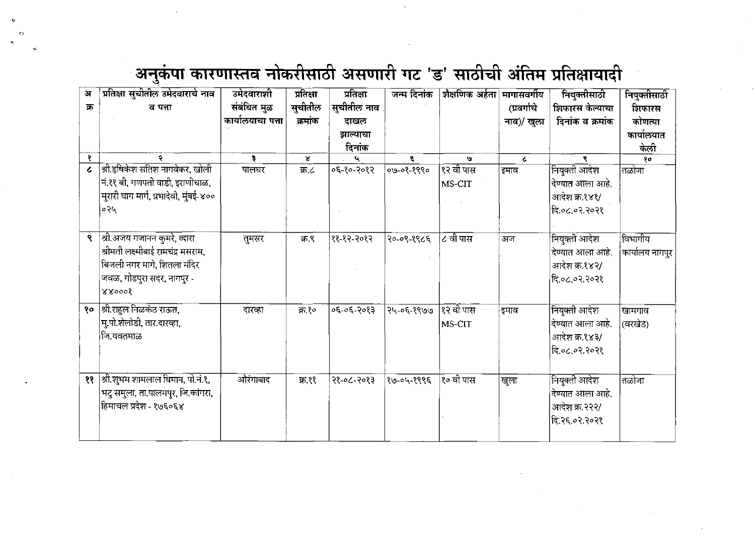$\epsilon$ 

| अ              | प्रतिक्षा सुचीतील उमेदवाराचे नाव       | उमेदवाराशी        | प्रतिक्षा    | प्रतिक्षा   | जन्म दिनांक | शैक्षणिक अर्हता मागासवर्गीय |             | नियुक्तीसाठी     | नियुक्तीसाठी    |
|----------------|----------------------------------------|-------------------|--------------|-------------|-------------|-----------------------------|-------------|------------------|-----------------|
| क्र            | व पत्ता                                | संबंधित मुळ       | सुचीतील      | सुचीतील नाव |             |                             | (प्रवर्गाचे | शिफारस केल्याचा  | शिफारस          |
|                |                                        | कार्यालयाचा पत्ता | क्रमांक      | दाखल        |             |                             | नाव)/ खुला  | दिनांक व क्रमांक | कोणत्या         |
|                |                                        |                   |              | झाल्याचा    |             |                             |             |                  | कार्यालयात      |
|                |                                        |                   |              | दिनांक      |             |                             |             |                  | केली            |
| १              | २                                      | ą.                | $\mathbf{x}$ |             | 5           | ۱g.                         | $\epsilon$  | R.               | १०              |
| $\overline{c}$ | श्री.हृषिकेश सतिश नागवेकर, खोली        | पालघर             | क ८          | ०६-१०-२०१२  | ०७-०१-१९९०  | १२ वी पास                   | इमाव        | नियुक्ती आदेश    | तळोजा           |
|                | नं.११ बी, गणपती वाडी, इराणीचाळ,        |                   |              |             |             | MS-CIT                      |             | देण्यात आला आहे. |                 |
|                | मुरारी घाग मार्ग, प्रभादेवी, मुंबई-४०० |                   |              |             |             |                             |             | आदेश क्र.१४१/    |                 |
|                | ०२५                                    |                   |              |             |             |                             |             | दि.०८.०२.२०२१    |                 |
|                |                                        |                   |              |             |             |                             |             |                  |                 |
| ٩              | श्री.अजय गजानन कुमरे, व्दारा           | तुमसर             | क ९          | ११-१२-२०१२  | २०-०९-१९८६  | $\overline{c}$ वी पास       | अज          | नियुक्ती आदेश    | विभागीय         |
|                | श्रीमती लक्ष्मीबाई रामचंद्र मसराम,     |                   |              |             |             |                             |             | देण्यात आला आहे. | कार्यालय नागपुर |
|                | बिजली नगर मागे, शितला मंदिर            |                   |              |             |             |                             |             | आदेश क्र.१४२/    |                 |
|                | जवळ, गोडपुरा सदर, नागपुर -             |                   |              |             |             |                             |             | दि.०८.०२.२०२१    |                 |
|                | 880008                                 |                   |              |             |             |                             |             |                  |                 |
|                |                                        |                   |              |             |             |                             |             |                  |                 |
| १०             | श्री.राहुल निळकंठ राऊत,                | दारव्हा           | क्र १०       | ०६-०६-२०१३  | २५-०६-१९७७  | १२ वी पास                   | इमाव        | नियुक्ती आदेश    | खामगाव          |
|                | मु.पो.शेलोडी, तार.दारव्हा,             |                   |              |             |             | MS-CIT                      |             | देण्यात आला आहे. | (वरखेड)         |
|                | जि.यवतमाळ                              |                   |              |             |             |                             |             | आदेश क्र.१४३/    |                 |
|                |                                        |                   |              |             |             |                             |             | दि.०८.०२.२०२१    |                 |
|                |                                        |                   |              |             |             |                             |             |                  |                 |
| ११             | श्री.शुभम शामलाल धिमान, पो.नं.१,       | औरंगाबाद          | ক্ষ.११       | २१-०८-२०१३  | १७-०५-१९९६  | १० वी पास                   | खुला        | नियुक्ती आदेश    | तळोजा           |
|                | भटु समुला, ता.पालमपुर, जि.कांगरा,      |                   |              |             |             |                             |             | देण्यात आला आहे. |                 |
|                | हिमाचल प्रदेश - १७६०६४                 |                   |              |             |             |                             |             | आदेश क्र.२२२/    |                 |
|                |                                        |                   |              |             |             |                             |             | दि.२६.०२.२०२१    |                 |
|                |                                        |                   |              |             |             |                             |             |                  |                 |
|                |                                        |                   |              |             |             |                             |             |                  |                 |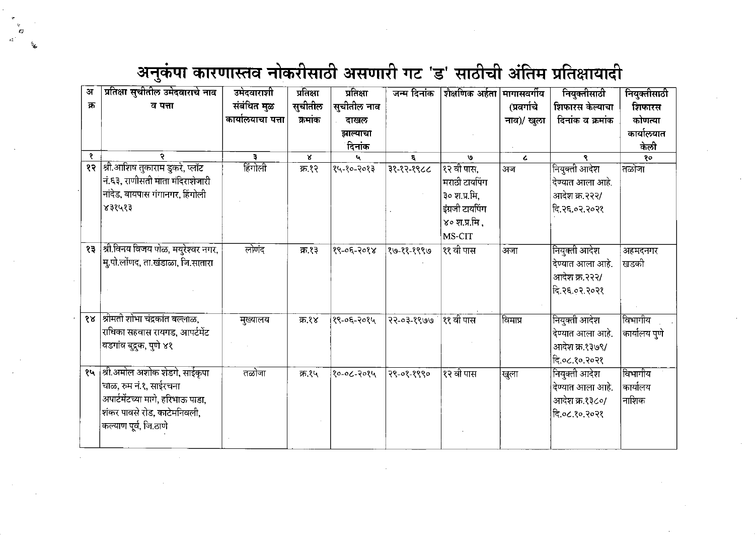- C)

| अ   | प्रतिक्षा सूचीतील उमेदवाराचे नाव       | उमेदवाराशी        | प्रतिक्षा | प्रतिक्षा   | जन्म दिनांक | शैक्षणिक अर्हता | मागासवर्गीय | नियुक्तीसाठी     | नियुक्तीसाठी  |
|-----|----------------------------------------|-------------------|-----------|-------------|-------------|-----------------|-------------|------------------|---------------|
| क्र | व पत्ता                                | संबंधित मुळ       | सुचीतील   | सुचीतील नाव |             |                 | (प्रवर्गाचे | शिफारस केल्याचा  | शिफारस        |
|     |                                        | कार्यालयाचा पत्ता | कमांक     | ताखल        |             |                 | नाव)/ खुला  | दिनांक व क्रमांक | कोणत्या       |
|     |                                        |                   |           | झाल्याचा    |             |                 |             |                  | कार्यालयात    |
|     |                                        |                   |           | दिनांक      |             |                 |             |                  | केली          |
| ₹   | २                                      | э                 | X.        |             | E.          | U               | $\epsilon$  | ९                | १०            |
| १२  | श्री.आशिष तुकाराम डुकरे, प्लॉट         | हिंगोली           | क १२      | १५-१०-२०१३  | 38-25-28-   | १२ वी पास,      | अज          | नियुक्ती आदेश    | तळोजा         |
|     | नं.६३, राणीसती माता मंदिराशेजारी       |                   |           |             |             | मराठी टायपिंग   |             | देण्यात आला आहे. |               |
|     | नांदेड, बायपास गंगानगर, हिंगोली        |                   |           |             |             | ३० श.प्र.मि,    |             | आदेश क्र.२२२/    |               |
|     | 838083                                 |                   |           |             |             | इंग्रजी टायपिंग |             | दि.२६.०२.२०२१    |               |
|     |                                        |                   |           |             |             | ४० श.प्र.मि ,   |             |                  |               |
|     |                                        |                   |           |             |             | MS-CIT          |             |                  |               |
|     | १३  श्री विनय विजय पोळ, मयुरेश्वर नगर, | लोणंद             | क १३      | १९-०६-२०१४  | १७-११-१९९७  | ११ वी पास       | अजा         | नियुक्ती आदेश    | अहमदनगर       |
|     | मु.पो.लोंणद, ता.खंडाळा, जि.सातारा      |                   |           |             |             |                 |             | देण्यात आला आहे. | खडकी          |
|     |                                        |                   |           |             |             |                 |             | आदेश क्र.२२२/    |               |
|     |                                        |                   |           |             |             |                 |             | हि २६.०२.२०२१    |               |
|     |                                        |                   |           |             |             |                 |             |                  |               |
|     | श्रीमती शोभा चंद्रकांत बल्लाळ,         |                   |           |             |             |                 |             |                  |               |
| १४  |                                        | मुख्यालय          | क्र.१४    | १९-०६-२०१५  | 27-03-8999  | ११ वी पास       | विमाप्र     | नियुक्ती आदेश    | विभागीय       |
|     | राधिका सहवास रायगड, आपर्टमेंट          |                   |           |             |             |                 |             | देण्यात आला आहे. | कार्यालय पुणे |
|     | वडगांव बुद्रुक, पुणे ४१                |                   |           |             |             |                 |             | आदेश क्र.१३७९/   |               |
|     |                                        |                   |           |             |             |                 |             | दि.०८.१०.२०२१    |               |
| १५  | श्री.अमोल अशोक शेडगे, साईकृपा          | तळोजा             | क्र.१५    | 1905-20-09  | २९-०१-१९९०  | १२ वी पास       | खुला        | नियुक्ती आदेश    | विभागीय       |
|     | चाळ, रुम नं.१, साईरचना                 |                   |           |             |             |                 |             | देण्यात आला आहे. | कार्यालय      |
|     | अपार्टमेंटच्या मागे, हरिभाऊ पाडा,      |                   |           |             |             |                 |             | आदेश क्र.१३८०/   | नाशिक         |
|     | शंकर पावसे रोड, काटेमनिवली,            |                   |           |             |             |                 |             | दि.०८.१०.२०२१    |               |
|     | कल्याण पूर्व, जि.ठाणे                  |                   |           |             |             |                 |             |                  |               |
|     |                                        |                   |           |             |             |                 |             |                  |               |
|     |                                        |                   |           |             |             |                 |             |                  |               |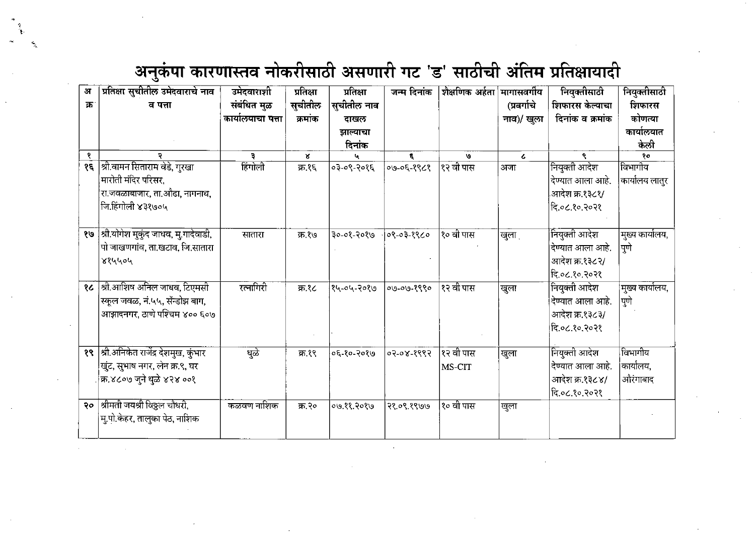| अ   | प्रतिक्षा सुचीतील उमेदवाराचे नाव     | उमेदवाराशी        | प्रतिक्षा | प्रतिक्षा   | जन्म दिनांक | शैक्षणिक अर्हता मागासवर्गीय |             | नियुक्तीसाठी     | नियुक्तीसाठी     |
|-----|--------------------------------------|-------------------|-----------|-------------|-------------|-----------------------------|-------------|------------------|------------------|
| क्र | व पत्ता                              | संबंधित मुळ       | सुचीतील   | सुचीतील नाव |             |                             | (प्रवर्गाचे | शिफारस केल्याचा  | शिफारस           |
|     |                                      | कार्यालयाचा पत्ता | क्रमांक   | दाखल        |             |                             | नाव)/ खुला  | दिनांक व क्रमांक | कोणत्या          |
|     |                                      |                   |           | झाल्याचा    |             |                             |             |                  | कार्यालयात       |
|     |                                      |                   |           | दिनांक      |             |                             |             |                  | केलो             |
| ₹   | ÷.                                   | э                 | x         |             | ε.          | ۱G۰                         | $\epsilon$  | ۹                | १०               |
| १६  | श्री.वामन सिताराम वेडे, गुरखा        | हिंगोली           | क्र.१६    | ०३-०९-२०१६  | ०७-०६-१९८१  | १२ वी पास                   | अजा         | नियुक्ती आदेश    | विभागीय          |
|     | मारोती मंदिर परिसर,                  |                   |           |             |             |                             |             | दिण्यात आला आहे. | कार्यालय लातुर   |
|     | रा.जवळाबाजार, ता.ओढा, नागनाथ,        |                   |           |             |             |                             |             | .आदेश क्र.१३८१/  |                  |
|     | जि.हिंगोली ४३१७०५                    |                   |           |             |             |                             |             | दि.०८.१०.२०२१    |                  |
|     |                                      |                   |           |             |             |                             |             |                  |                  |
| १७  | श्री.योगेश मुकुंद जाधव, मु.गादेवाडी, | सातारा            | क्र.१७    | ३०-०१-२०१७  | ०९-०३-१९८०  | १० वी पास                   | खुला        | नियुक्ती आदेश    | मुख्य कार्यालय,  |
|     | पो जाखणगांव, ता.खटाव, जि.सातारा      |                   |           |             |             |                             |             | देण्यात आला आहे. | पूर्ण            |
|     | ४१५५०५                               |                   |           |             |             |                             |             | आदेश क्र.१३८२/   |                  |
|     |                                      |                   |           |             |             |                             |             | दि.०८.१०.२०२१    |                  |
| १८  | श्री.आशिष अनिल जाधव, टिएमसी          | रत्नागिरी         | क्र.१८    | १५-०५-२०१७  | 09.00.8990  | १२ वी पास                   | खुला        | नियुक्ती आदेश    | 'मुख्य कार्यालय, |
|     | स्कूल जवळ, नं.५५, सॅन्डोझ बाग,       |                   |           |             |             |                             |             | देण्यात आला आहे. | पुणे             |
|     | आझादनगर, ठाणे पश्चिम ४०० ६०७         |                   |           |             |             |                             |             | आदेश क्र.१३८३/   |                  |
|     |                                      |                   |           |             |             |                             |             | दि.०८.१०.२०२१    |                  |
|     |                                      |                   |           |             |             |                             |             |                  |                  |
| १९  | श्री.अनिकेत राजेंद्र देशमुख, कुंभार  | धुळे              | क्र.१९    | ०६-१०-२०१७  | ०२-०४-१९९२  | १२ वी पास                   | खुला        | नियुक्ती आदेश    | विभागीय          |
|     | खुंट, सुभाष नगर, लेन क्र.९, घर       |                   |           |             |             | MS-CIT                      |             | देण्यात आला आहे. | कार्यालय,        |
|     | क्र.४८०७ जुने धुळे ४२४ ००१           |                   |           |             |             |                             |             | आदेश क्र.१३८४/   | औरंगाबाद         |
|     |                                      |                   |           |             |             |                             |             | दि.०८.१०.२०२१    |                  |
| २०  | श्रीमती जयश्री विठ्ठल चौधरी,         | कळवण नाशिक        | क्र.२०    | ०७.११.२०१७  | २१.०९.१९७७  | १० वी पास                   | खुला        |                  |                  |
|     | मु.पो.केहर, तालुका पेठ, नाशिक        |                   |           |             |             |                             |             |                  |                  |
|     |                                      |                   |           |             |             |                             |             |                  |                  |
|     |                                      |                   |           |             |             |                             |             |                  |                  |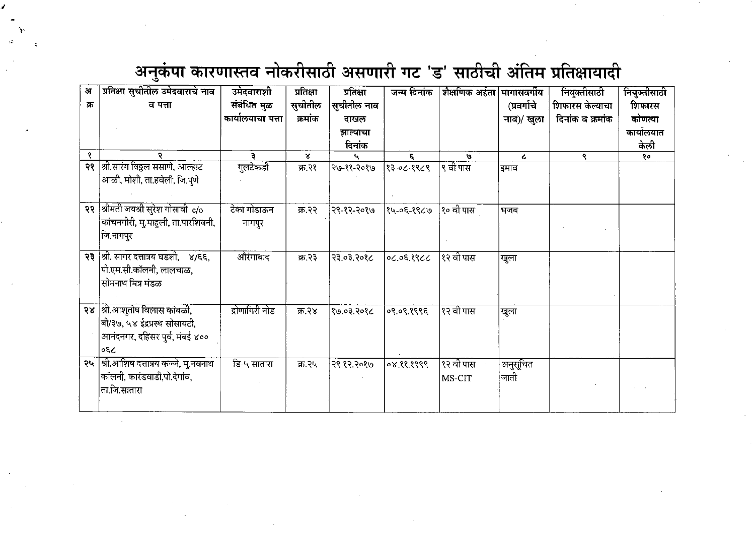| अ   | प्रतिक्षा सुचीतील उमेदवाराचे नाव    | उमेदवाराशी        | प्रतिक्षा    | प्रतिक्षा   | जन्म दिनांक | शैक्षणिक अर्हता मागासवर्गीय |             | नियुक्तीसाठी     | नियुक्तीसाठी |
|-----|-------------------------------------|-------------------|--------------|-------------|-------------|-----------------------------|-------------|------------------|--------------|
| क्र | व पत्ता                             | संबंधित मुळ       | सुचीतील      | सुचीतील नाव |             |                             | (प्रवर्गाचे | शिफारस केल्याचा  | शिफारस       |
|     |                                     | कार्यालयाचा पत्ता | क्रमांक      | दाखल        |             |                             | नाव)/ खुला  | दिनांक व क्रमांक | कोणत्या      |
|     |                                     |                   |              | झाल्याचा    |             |                             |             |                  | कार्यालयात   |
|     |                                     |                   |              | दिनांक      |             |                             |             |                  | केली         |
| १   |                                     |                   | $\mathbf{x}$ | t,          | ε.          | $\mathbf{S}$                | $\epsilon$  | ۹.               | १०           |
| २१  | श्री.सारंग विठ्ठल ससाणे, आल्हाट     | गुलटेकडी          | क्र.२१       | २७-११-२०१७  | १३३-०८-१९८९ | ९ वी पास                    | इमाव        |                  |              |
|     | आळी, मोशी, ता.हवेली, जि.पुणे        |                   |              |             |             |                             |             |                  |              |
|     |                                     |                   |              |             |             |                             |             |                  |              |
| २२  | श्रीमती जयश्री सुरेश गोसावी c/o     | टेका गोडाऊन       | क्र.२२       | २९-१२-२०१७  | १५-०६-१९८७  | १० वी पास                   | भजब         |                  |              |
|     | कांचनगीरी, मु.माहुली, ता.पारशिवनी,  | नागपुर            |              |             |             |                             |             |                  |              |
|     | जि.नागपुर                           |                   |              |             |             |                             |             |                  |              |
|     |                                     |                   |              |             |             |                             |             |                  |              |
| २३  | श्री. सागर दत्तात्रय घडशी,    ४/६६, | ओरंगाबाद          | क्र.२३       | २३.०३.२०१८  | 2299.30.20  | १२ वी पास                   | खुला        |                  |              |
|     | पी.एम.सी.कॉलनी, लालचाळ,             |                   |              |             |             |                             |             |                  |              |
|     | सोमनाथ मित्र मंडळ                   |                   |              |             |             |                             |             |                  |              |
|     |                                     |                   |              |             |             |                             |             |                  |              |
| २४  | श्री.आशुतोष विलास कांबळी,           | द्रोणागिरी नोड    | क्र.२४       | 3805.50.08  | ०९.०९.१९९६  | १२ वी पास                   | खुला        |                  |              |
|     | बी/३७, ५४ ईद्रप्रस्थ सोसायटी,       |                   |              |             |             |                             |             |                  |              |
|     | आनंदनगर, दहिसर पूर्व, मंबई ४००      |                   |              |             |             |                             |             |                  |              |
|     | οĘζ                                 |                   |              |             |             |                             |             |                  |              |
| २५  | श्री.आशिष दत्तात्रय कज्जे, मु.नवनाथ | डि-५ सातारा       | क्र.२५       | २९.१२.२०१७  | 08.88.8999  | १२ वी पास                   | अनुसूचित    |                  |              |
|     | कॉलनी, कारंडवाडी,पो.देगांव,         |                   |              |             |             | MS-CIT                      | जाती        |                  |              |
|     | ता.जि.सातारा                        |                   |              |             |             |                             |             |                  |              |
|     |                                     |                   |              |             |             |                             |             |                  |              |
|     |                                     |                   |              |             |             |                             |             |                  |              |